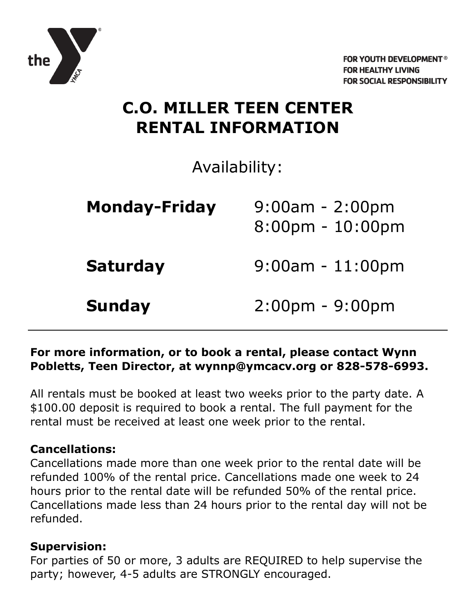

## **C.O. MILLER TEEN CENTER RENTAL INFORMATION**

Availability:

| <b>Monday-Friday</b> | $9:00$ am - 2:00pm<br>$8:00$ pm - $10:00$ pm |
|----------------------|----------------------------------------------|
| <b>Saturday</b>      | $9:00$ am - $11:00$ pm                       |
| <b>Sunday</b>        | $2:00$ pm - 9:00pm                           |

## **For more information, or to book a rental, please contact Wynn Pobletts, Teen Director, at wynnp@ymcacv.org or 828-578-6993.**

All rentals must be booked at least two weeks prior to the party date. A \$100.00 deposit is required to book a rental. The full payment for the rental must be received at least one week prior to the rental.

### **Cancellations:**

Cancellations made more than one week prior to the rental date will be refunded 100% of the rental price. Cancellations made one week to 24 hours prior to the rental date will be refunded 50% of the rental price. Cancellations made less than 24 hours prior to the rental day will not be refunded.

### **Supervision:**

For parties of 50 or more, 3 adults are REQUIRED to help supervise the party; however, 4-5 adults are STRONGLY encouraged.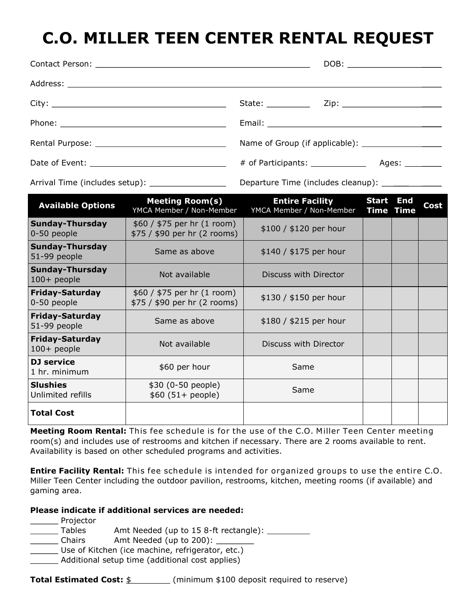# **C.O. MILLER TEEN CENTER RENTAL REQUEST**

|                                       |                                                               | DOB: _________________________                               |                  |  |      |
|---------------------------------------|---------------------------------------------------------------|--------------------------------------------------------------|------------------|--|------|
|                                       |                                                               |                                                              |                  |  |      |
|                                       |                                                               |                                                              |                  |  |      |
|                                       |                                                               |                                                              |                  |  |      |
|                                       |                                                               |                                                              |                  |  |      |
|                                       |                                                               |                                                              |                  |  |      |
|                                       |                                                               | Departure Time (includes cleanup): ______________            |                  |  |      |
| <b>Available Options</b>              | <b>Meeting Room(s)</b><br>YMCA Member / Non-Member            | <b>Entire Facility 5tart End</b><br>YMCA Member / Non-Member | <b>Time Time</b> |  | Cost |
| <b>Sunday-Thursday</b><br>0-50 people | $$60 / $75$ per hr $(1$ room)<br>\$75 / \$90 per hr (2 rooms) | \$100 / \$120 per hour                                       |                  |  |      |
| Sunday-Thursday<br>51-99 people       | Same as above                                                 | $$140 / $175$ per hour                                       |                  |  |      |

 $\frac{300}{7}$  /  $\frac{4}{3}$  pcr in (1 rooms)  $\frac{1}{30}$  / \$150 per hour

**Entire Facility Rental:** This fee schedule is intended for organized groups to use the entire C.O. Miller Teen Center including the outdoor pavilion, restrooms, kitchen, meeting rooms (if available) and gaming area.

 $$60 (51 + people)$  Same

Meeting Room Rental: This fee schedule is for the use of the C.O. Miller Teen Center meeting room(s) and includes use of restrooms and kitchen if necessary. There are 2 rooms available to rent.

#### **Please indicate if additional services are needed:**

**Manuel** Projector

**Sunday-Thursday**

**Friday-Saturday**

**Friday-Saturday**

**Friday-Saturday**

0-50 people

**DJ service**

**Slushies**

**Total Cost**

Unlimited refills

Tables Amt Needed (up to 15 8-ft rectangle): \_\_\_\_\_\_\_\_\_

Availability is based on other scheduled programs and activities.

Chairs Amt Needed (up to 200):

Use of Kitchen (ice machine, refrigerator, etc.)

**Additional setup time (additional cost applies)** 

**Total Estimated Cost:** \$ (minimum \$100 deposit required to reserve)

Sunday Thursday | Not available | Discuss with Director |

Thday Saturday **Same as above the same of the set of the Same as above** the state of \$215 per hour

**Thuay-Saturday**<br>100+ people **Not available** Discuss with Director

\$30 (0-50 people)

**1** hr. minimum **by service f** the set of the same same same same

\$60 / \$75 per hr (1 room)